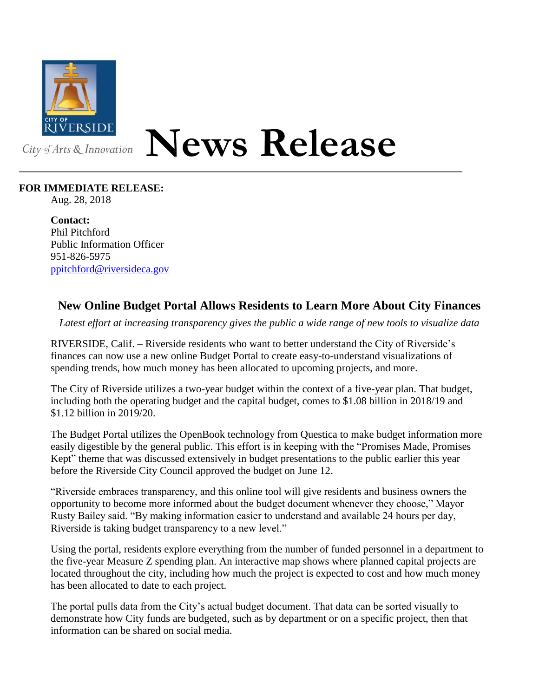

## **News Release**

## **FOR IMMEDIATE RELEASE:**

Aug. 28, 2018

**Contact:** Phil Pitchford Public Information Officer 951-826-5975 [ppitchford@riversideca.gov](mailto:ppitchford@riversideca.gov)

## **New Online Budget Portal Allows Residents to Learn More About City Finances**

*Latest effort at increasing transparency gives the public a wide range of new tools to visualize data*

RIVERSIDE, Calif. – Riverside residents who want to better understand the City of Riverside's finances can now use a new online Budget Portal to create easy-to-understand visualizations of spending trends, how much money has been allocated to upcoming projects, and more.

The City of Riverside utilizes a two-year budget within the context of a five-year plan. That budget, including both the operating budget and the capital budget, comes to \$1.08 billion in 2018/19 and \$1.12 billion in 2019/20.

The Budget Portal utilizes the OpenBook technology from Questica to make budget information more easily digestible by the general public. This effort is in keeping with the "Promises Made, Promises Kept" theme that was discussed extensively in budget presentations to the public earlier this year before the Riverside City Council approved the budget on June 12.

"Riverside embraces transparency, and this online tool will give residents and business owners the opportunity to become more informed about the budget document whenever they choose," Mayor Rusty Bailey said. "By making information easier to understand and available 24 hours per day, Riverside is taking budget transparency to a new level."

Using the portal, residents explore everything from the number of funded personnel in a department to the five-year Measure Z spending plan. An interactive map shows where planned capital projects are located throughout the city, including how much the project is expected to cost and how much money has been allocated to date to each project.

The portal pulls data from the City's actual budget document. That data can be sorted visually to demonstrate how City funds are budgeted, such as by department or on a specific project, then that information can be shared on social media.